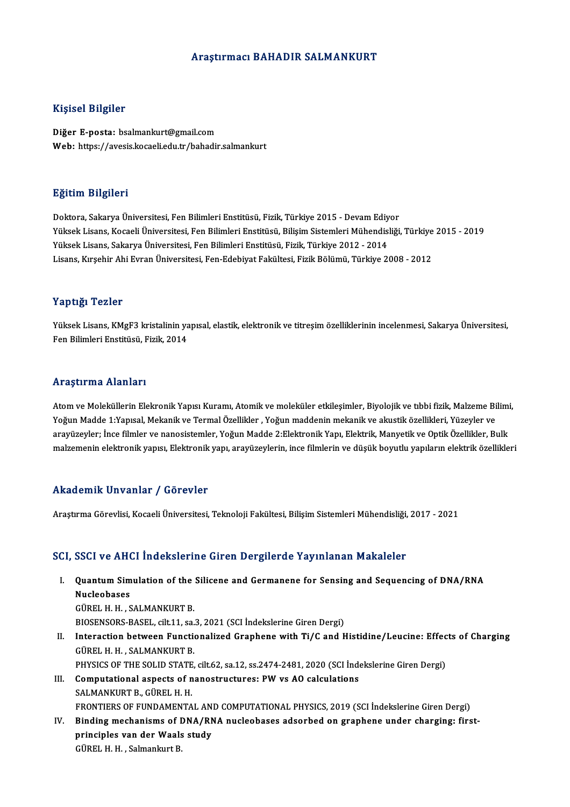# Araştırmacı BAHADIR SALMANKURT

# Kişisel Bilgiler

Diğer E-posta: bsalmankurt@gmail.com Web: https://avesis.kocaeli.edu.tr/bahadir.salmankurt

# Eğitim Bilgileri

Doktora, Sakarya Üniversitesi, Fen Bilimleri Enstitüsü, Fizik, Türkiye 2015 - Devam Ediyor YüksekLisans,KocaeliÜniversitesi,FenBilimleriEnstitüsü,BilişimSistemleriMühendisliği,Türkiye 2015 -2019 Yüksek Lisans, Sakarya Üniversitesi, Fen Bilimleri Enstitüsü, Fizik, Türkiye 2012 - 2014 Lisans,KırşehirAhiEvranÜniversitesi,Fen-EdebiyatFakültesi,FizikBölümü,Türkiye 2008 -2012

# Yaptığı Tezler

Yaptığı Tezler<br>Yüksek Lisans, KMgF3 kristalinin yapısal, elastik, elektronik ve titreşim özelliklerinin incelenmesi, Sakarya Üniversitesi,<br>Fen Pilimleri Enstitüsü, Firik, 2014 Tüptiği<br>Yüksek Lisans, KMgF3 kristalinin ya<br>Fen Bilimleri Enstitüsü, Fizik, 2014 Fen Bilimleri Enstitüsü, Fizik, 2014<br>Araştırma Alanları

Atom ve Moleküllerin Elekronik Yapısı Kuramı, Atomik ve moleküler etkileşimler, Biyolojik ve tıbbi fizik, Malzeme Bilimi, Yoğun Madde 1:Yapısal, Mekanik ve Termal Özellikler , Yoğun maddenin mekanik ve akustik özellikleri, Yüzeyler ve arayüzeyler; İnce filmler ve nanosistemler, Yoğun Madde 2:Elektronik Yapı, Elektrik, Manyetik ve Optik Özellikler, Bulk malzemenin elektronik yapısı, Elektronik yapı, arayüzeylerin, ince filmlerin ve düşük boyutlu yapıların elektrik özellikleri

# Akademik Unvanlar / Görevler

Araştırma Görevlisi, Kocaeli Üniversitesi, Teknoloji Fakültesi, Bilişim Sistemleri Mühendisliği, 2017 - 2021

## SCI, SSCI ve AHCI İndekslerine Giren Dergilerde Yayınlanan Makaleler

CI, SSCI ve AHCI İndekslerine Giren Dergilerde Yayınlanan Makaleler<br>I. Quantum Simulation of the Silicene and Germanene for Sensing and Sequencing of DNA/RNA<br>Nucleobases obor voltri<br>Quantum Sim<br>Nucleobases<br>Cüpet u u s **Quantum Simulation of the<br>Nucleobases<br>GÜREL H. H., SALMANKURT B.**<br>PIOSENSORS PASEL si<sup>1</sup>t 11, SQ

Nucleobases<br>GÜREL H. H. , SALMANKURT B.<br>BIOSENSORS-BASEL, cilt.11, sa.3, 2021 (SCI İndekslerine Giren Dergi)<br>Interaction between Eunstianalized Granhane with Ti (G and E

GÜREL H. H. , SALMANKURT B.<br>BIOSENSORS-BASEL, cilt.11, sa.3, 2021 (SCI İndekslerine Giren Dergi)<br>II. Interaction between Functionalized Graphene with Ti/C and Histidine/Leucine: Effects of Charging<br>GÜREL H. H. , SALMAN BIOSENSORS-BASEL, cilt.11, sa.<br>Interaction between Function<br>GÜREL H. H. , SALMANKURT B.<br>BUVSICS OF TUE SOLID STATE Interaction between Functionalized Graphene with Ti/C and Histidine/Leucine: Effec<br>GÜREL H. H., SALMANKURT B.<br>PHYSICS OF THE SOLID STATE, cilt.62, sa.12, ss.2474-2481, 2020 (SCI İndekslerine Giren Dergi)<br>Computational aspe

- GÜREL H. H., SALMANKURT B.<br>PHYSICS OF THE SOLID STATE, cilt.62, sa.12, ss.2474-2481, 2020 (SCI Inde<br>III. Computational aspects of nanostructures: PW vs AO calculations<br>SALMANKUPT P. CUREL H. H. PHYSICS OF THE SOLID STATE<br>Computational aspects of n<br>SALMANKURT B., GÜREL H. H.<br>EPONTIERS OF FUNDAMENTA Computational aspects of nanostructures: PW vs AO calculations<br>SALMANKURT B., GÜREL H. H.<br>FRONTIERS OF FUNDAMENTAL AND COMPUTATIONAL PHYSICS, 2019 (SCI İndekslerine Giren Dergi)<br>Binding meshanisma of DNA (PNA nusleabases a SALMANKURT B., GÜREL H. H.<br>FRONTIERS OF FUNDAMENTAL AND COMPUTATIONAL PHYSICS, 2019 (SCI Indekslerine Giren Dergi)<br>IV. Binding mechanisms of DNA/RNA nucleobases adsorbed on graphene under charging: first-<br>principles van da
- FRONTIERS OF FUNDAMENTAL AN<br>Binding mechanisms of DNA/RN<br>principles van der Waals study<br>C<sup>üpel H</sup>. H. Selmanlaut B. Binding mechanisms of DNA/RNA nucleobases adsorbed on graphene under charging: first-<br>principles van der Waals study<br>GÜREL H. H. , Salmankurt B.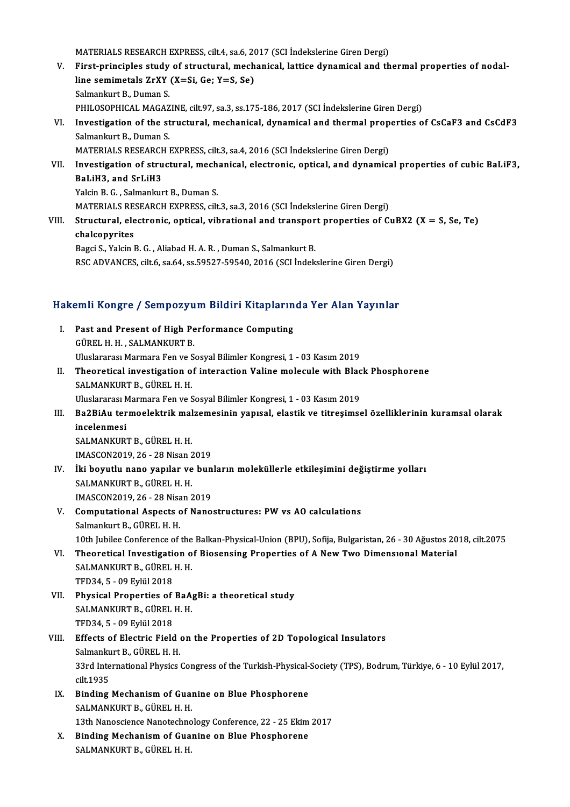MATERIALS RESEARCH EXPRESS, cilt.4, sa.6, 2017 (SCI İndekslerine Giren Dergi)<br>Finst principles study of strustural, mashanisal, lattiss dynamisal and th

- V. First-principles study of structural, mechanical, lattice dynamical and thermal properties of nodal-MATERIALS RESEARCH EXPRESS, cilt.4, sa.6, 20<br>First-principles study of structural, mech<br>line semimetals ZrXY (X=Si, Ge; Y=S, Se)<br>Selmanluut B. Duman S line semimetals ZrXY (X=Si, Ge; Y=S, Se)<br>Salmankurt B., Duman S. line semimetals ZrXY (X=Si, Ge; Y=S, Se)<br>Salmankurt B., Duman S.<br>PHILOSOPHICAL MAGAZINE, cilt.97, sa.3, ss.175-186, 2017 (SCI İndekslerine Giren Dergi)<br>Investigation of the structural, mechanical, dynamical and thermal pro Salmankurt B., Duman S.<br>PHILOSOPHICAL MAGAZINE, cilt.97, sa.3, ss.175-186, 2017 (SCI İndekslerine Giren Dergi)<br>VI. Investigation of the structural, mechanical, dynamical and thermal properties of CsCaF3 and CsCdF3<br>Salmanku
- PHILOSOPHICAL MAGAZ<br>Investigation of the st<br>Salmankurt B., Duman S.<br>MATEPIALS PESEAPCH I Investigation of the structural, mechanical, dynamical and thermal prop<br>Salmankurt B., Duman S.<br>MATERIALS RESEARCH EXPRESS, cilt.3, sa.4, 2016 (SCI İndekslerine Giren Dergi)<br>Investigation of structural, mechanical, electro

Salmankurt B., Duman S.<br>MATERIALS RESEARCH EXPRESS, cilt.3, sa.4, 2016 (SCI İndekslerine Giren Dergi)<br>VII. Investigation of structural, mechanical, electronic, optical, and dynamical properties of cubic BaLiF3,<br>RaLiH2, and MATERIALS RESEARCH<br>Investigation of stru<br>BaLiH3, and SrLiH3<br><sup>Volgin B.</sup>C., Salmankur Investigation of structural, mech<br>BaLiH3, and SrLiH3<br>Yalcin B. G. , Salmankurt B., Duman S.<br>MATEDIALS BESEADCH EVPRESS, cilt BaLiH3, and SrLiH3<br>Yalcin B. G. , Salmankurt B., Duman S.<br>MATERIALS RESEARCH EXPRESS, cilt.3, sa.3, 2016 (SCI İndekslerine Giren Dergi)

Yalcin B. G. , Salmankurt B., Duman S.<br>MATERIALS RESEARCH EXPRESS, cilt.3, sa.3, 2016 (SCI Indekslerine Giren Dergi)<br>VIII. Structural, electronic, optical, vibrational and transport properties of CuBX2 (X = S, Se, Te)<br>chal MATERIALS RE<br>Structural, ele<br>chalcopyrites<br>Paggi S. Valgin l Structural, electronic, optical, vibrational and transpor<br>chalcopyrites<br>Bagci S., Yalcin B. G. , Aliabad H. A. R. , Duman S., Salmankurt B.<br>BSC ADVANCES, si<sup>lt 6, 80.</sub>64, 80.59527, 59540, 2016, (SCL haak</sup> chalcopyrites<br>Bagci S., Yalcin B. G. , Aliabad H. A. R. , Duman S., Salmankurt B.<br>RSC ADVANCES, cilt.6, sa.64, ss.59527-59540, 2016 (SCI İndekslerine Giren Dergi)

# kst Abvantes, ciito, sa.64, ss.59527-59540, 2016 (sti indeksierine Giren bergi)<br>Hakemli Kongre / Sempozyum Bildiri Kitaplarında Yer Alan Yayınlar

- akemli Kongre / Sempozyum Bildiri Kitapların<br>I. Past and Present of High Performance Computing<br>CÜPELH H. SALMANKUPT P I. Past and Present of High Performance Computing<br>GÜREL H. H. , SALMANKURT B. Uluslararası Marmara Fen ve Sosyal Bilimler Kongresi, 1 - 03 Kasım 2019 GÜREL H. H. , SALMANKURT B.<br>Uluslararası Marmara Fen ve Sosyal Bilimler Kongresi, 1 - 03 Kasım 2019<br>II. Theoretical investigation of interaction Valine molecule with Black Phosphorene<br>SALMANKURT P. CÜREL H. H. Uluslararası Marmara Fen ve S<br><mark>Theoretical investigation o</mark><br>SALMANKURT B., GÜREL H. H.<br>Hluslararası Marmara Fen ve S Theoretical investigation of interaction Valine molecule with Blac<br>SALMANKURT B., GÜREL H. H.<br>Uluslararası Marmara Fen ve Sosyal Bilimler Kongresi, 1 - 03 Kasım 2019<br>Bo<sup>2BiA</sup>u tarmaclaktnik malzamasinin yanısal, elastik ve SALMANKURT B., GÜREL H. H.<br>Uluslararası Marmara Fen ve Sosyal Bilimler Kongresi, 1 - 03 Kasım 2019<br>III. Ba2BiAu termoelektrik malzemesinin yapısal, elastik ve titreşimsel özelliklerinin kuramsal olarak<br>inselepmesi
- Uluslararası Marmara Fen ve Sosyal Bilimler Kongresi, 1 03 Kasım 2019<br>Ba2BiAu termoelektrik malzemesinin yapısal, elastik ve titreşims<br>incelenmesi<br>SALMANKURT B., GÜREL H. H. Ba2BiAu termoelektrik mal<br>incelenmesi<br>SALMANKURT B., GÜREL H. H.<br>IMASCON2019 26 - 28 Nisan 2 incelenmesi<br>SALMANKURT B., GÜREL H. H.<br>IMASCON2019, 26 - 28 Nisan 2019<br><sup>iki</sup> boyutlu nano yanılar ve bun SALMANKURT B., GÜREL H. H.<br>IMASCON2019, 26 - 28 Nisan 2019<br>IV. İki boyutlu nano yapılar ve bunların moleküllerle etkileşimini değiştirme yolları<br>SALMANKURT P. GÜREL H. H
- IMASCON2019, 26 28 Nisan 2<br><mark>İki boyutlu nano yapılar ve</mark><br>SALMANKURT B., GÜREL H. H.<br>IMASCON2019, 26 28 Nisan 2 **İki boyutlu nano yapılar ve bun<br>SALMANKURT B., GÜREL H. H.<br>IMASCON2019, 26 - 28 Nisan 2019<br>Computational Aspects of Nano** SALMANKURT B., GÜREL H. H.<br>IMASCON2019, 26 - 28 Nisan 2019<br>V. Computational Aspects of Nanostructures: PW vs AO calculations<br>Salmankut B. CÜREL H. H.
- IMASCON2019, 26 28 Nisa<br>Computational Aspects<br>Salmankurt B., GÜREL H. H.<br>10th Jubiles Conference of Computational Aspects of Nanostructures: PW vs AO calculations<br>Salmankurt B., GÜREL H. H.<br>10th Jubilee Conference of the Balkan-Physical-Union (BPU), Sofija, Bulgaristan, 26 - 30 Ağustos 2018, cilt.2075<br>Theoretical Investi Salmankurt B., GÜREL H. H.<br>10th Jubilee Conference of the Balkan-Physical-Union (BPU), Sofija, Bulgaristan, 26 - 30 Ağustos 20<br>VI. Theoretical Investigation of Biosensing Properties of A New Two Dimensional Material<br>SALMAN
- 10th Jubilee Conference of the<br>Theoretical Investigation of<br>SALMANKURT B., GÜREL H. H.<br>TED24 E. 00 Evlül 2019 VI. Theoretical Investigation of Biosensing Properties of A New Two Dimensional Material<br>SALMANKURT B., GÜREL H. H.<br>TFD34, 5 - 09 Eylül 2018 SALMANKURT B., GÜREL H. H.<br>TFD34, 5 - 09 Eylül 2018<br>VII. Physical Properties of BaAgBi: a theoretical study<br>SALMANKURT P. CÜREL H. H.
- TFD34, 5 09 Eylül 2018<br>Physical Properties of BaA<sub>i</sub><br>SALMANKURT B., GÜREL H. H.<br>TED34, 5 09 Eylül 2019 Physical Properties of<br>SALMANKURT B., GÜREL<br>TFD34, 5 - 09 Eylül 2018<br>Effects of Electric Field SALMANKURT B., GÜREL H. H.<br>TFD34, 5 - 09 Eylül 2018<br>VIII. Effects of Electric Field on the Properties of 2D Topological Insulators<br>Selmankurt B. CÜREL H. H.
- TFD34, 5 09 Eylül 2018<br>Effects of Electric Field<br>Salmankurt B., GÜREL H. H.<br>22rd International Physics Effects of Electric Field on the Properties of 2D Topological Insulators<br>Salmankurt B., GÜREL H. H.<br>33rd International Physics Congress of the Turkish-Physical-Society (TPS), Bodrum, Türkiye, 6 - 10 Eylül 2017,<br>s<sup>ilt 1025</sup> Salmanku<br>33rd Inte<br>cilt.1935<br>Binding 33rd International Physics Congress of the Turkish-Physical-<br>cilt.1935<br>IX. Binding Mechanism of Guanine on Blue Phosphorene<br>SALMANKUPT P. CUREL H. H.
- cilt.1935<br>Binding Mechanism of Guar<br>SALMANKURT B., GÜREL H. H.<br>12th Nanossianse Nanatashne SALMANKURT B., GÜREL H. H.<br>13th Nanoscience Nanotechnology Conference, 22 - 25 Ekim 2017
- X. Binding Mechanism of Guanine on Blue Phosphorene SALMANKURT B., GÜREL H. H.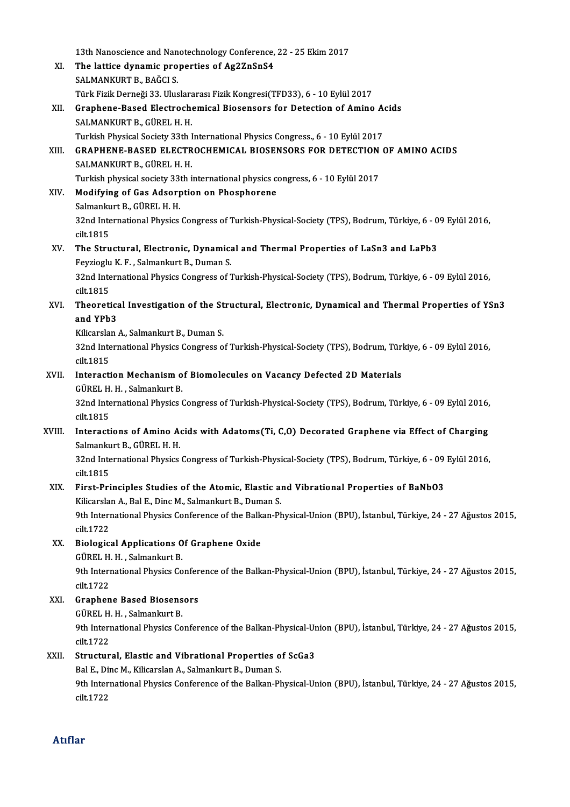|        | 13th Nanoscience and Nanotechnology Conference, 22 - 25 Ekim 2017                                                              |
|--------|--------------------------------------------------------------------------------------------------------------------------------|
| XI.    | The lattice dynamic properties of Ag2ZnSnS4                                                                                    |
|        | SALMANKURT B., BAĞCI S.                                                                                                        |
|        | Türk Fizik Derneği 33. Uluslararası Fizik Kongresi(TFD33), 6 - 10 Eylül 2017                                                   |
| XII.   | Graphene-Based Electrochemical Biosensors for Detection of Amino Acids<br>SALMANKURT B., GÜREL H. H.                           |
|        | Turkish Physical Society 33th International Physics Congress., 6 - 10 Eylül 2017                                               |
| XIII.  | GRAPHENE-BASED ELECTROCHEMICAL BIOSENSORS FOR DETECTION OF AMINO ACIDS                                                         |
|        | SALMANKURT B., GÜREL H. H.                                                                                                     |
|        | Turkish physical society 33th international physics congress, 6 - 10 Eylül 2017                                                |
| XIV.   | Modifying of Gas Adsorption on Phosphorene                                                                                     |
|        | Salmankurt B., GÜREL H. H.                                                                                                     |
|        | 32nd International Physics Congress of Turkish-Physical-Society (TPS), Bodrum, Türkiye, 6 - 09 Eylül 2016,<br>cilt 1815        |
| XV.    | The Structural, Electronic, Dynamical and Thermal Properties of LaSn3 and LaPb3<br>Feyzioglu K. F., Salmankurt B., Duman S.    |
|        | 32nd International Physics Congress of Turkish-Physical-Society (TPS), Bodrum, Türkiye, 6 - 09 Eylül 2016,<br>cilt 1815        |
| XVI.   | Theoretical Investigation of the Structural, Electronic, Dynamical and Thermal Properties of YSn3<br>and YPb3                  |
|        | Kilicarslan A., Salmankurt B., Duman S.                                                                                        |
|        | 32nd International Physics Congress of Turkish-Physical-Society (TPS), Bodrum, Türkiye, 6 - 09 Eylül 2016,                     |
|        | cilt 1815                                                                                                                      |
| XVII.  | Interaction Mechanism of Biomolecules on Vacancy Defected 2D Materials                                                         |
|        | GÜREL H. H., Salmankurt B.                                                                                                     |
|        | 32nd International Physics Congress of Turkish-Physical-Society (TPS), Bodrum, Türkiye, 6 - 09 Eylül 2016,<br>cilt 1815        |
| XVIII. | Interactions of Amino Acids with Adatoms(Ti, C,O) Decorated Graphene via Effect of Charging<br>Salmankurt B., GÜREL H. H.      |
|        | 32nd International Physics Congress of Turkish-Physical-Society (TPS), Bodrum, Türkiye, 6 - 09 Eylül 2016,<br>cilt 1815        |
| XIX.   | First-Principles Studies of the Atomic, Elastic and Vibrational Properties of BaNbO3                                           |
|        | Kilicarslan A., Bal E., Dinc M., Salmankurt B., Duman S.                                                                       |
|        | 9th International Physics Conference of the Balkan-Physical-Union (BPU), İstanbul, Türkiye, 24 - 27 Ağustos 2015,<br>cilt 1722 |
| XX.    | <b>Biological Applications Of Graphene Oxide</b>                                                                               |
|        | GÜREL H. H., Salmankurt B.                                                                                                     |
|        | 9th International Physics Conference of the Balkan-Physical-Union (BPU), İstanbul, Türkiye, 24 - 27 Ağustos 2015,              |
|        | cilt 1722                                                                                                                      |
| XXI.   | <b>Graphene Based Biosensors</b>                                                                                               |
|        | GÜREL H. H., Salmankurt B.                                                                                                     |
|        | 9th International Physics Conference of the Balkan-Physical-Union (BPU), İstanbul, Türkiye, 24 - 27 Ağustos 2015,              |
|        | cilt 1722                                                                                                                      |
| XXII.  | Structural, Elastic and Vibrational Properties of ScGa3                                                                        |
|        | Bal E., Dinc M., Kilicarslan A., Salmankurt B., Duman S.                                                                       |
|        | 9th International Physics Conference of the Balkan-Physical-Union (BPU), İstanbul, Türkiye, 24 - 27 Ağustos 2015,<br>cilt 1722 |
|        |                                                                                                                                |

# Atıflar